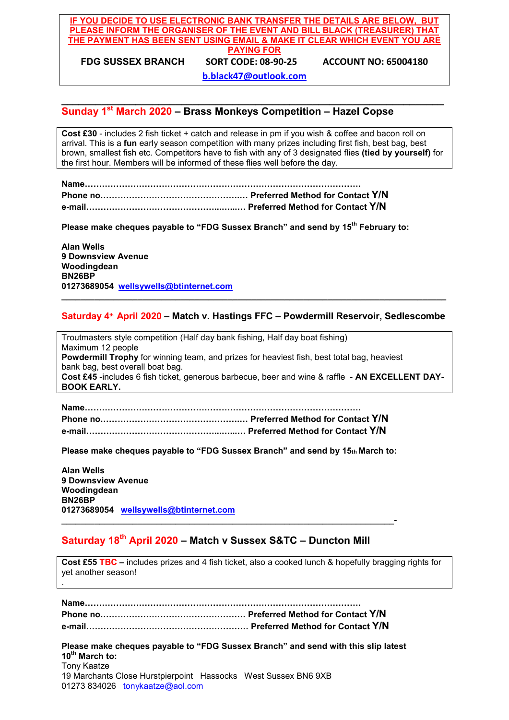#### **IF YOU DECIDE TO USE ELECTRONIC BANK TRANSFER THE DETAILS ARE BELOW, BUT PLEASE INFORM THE ORGANISER OF THE EVENT AND BILL BLACK (TREASURER) THAT THE PAYMENT HAS BEEN SENT USING EMAIL & MAKE IT CLEAR WHICH EVENT YOU ARE PAYING FOR FDG SUSSEX BRANCH SORT CODE: 08-90-25 ACCOUNT NO: 65004180**

**b.black47@outlook.com**

#### **\_\_\_\_\_\_\_\_\_\_\_\_\_\_\_\_\_\_\_\_\_\_\_\_\_\_\_\_\_\_\_\_\_\_\_\_\_\_\_\_\_\_\_\_\_\_\_\_\_\_\_\_\_\_\_\_\_\_\_\_\_\_\_\_\_\_\_ Sunday 1st March 2020 – Brass Monkeys Competition – Hazel Copse**

**Cost £30** - includes 2 fish ticket + catch and release in pm if you wish & coffee and bacon roll on arrival. This is a **fun** early season competition with many prizes including first fish, best bag, best brown, smallest fish etc. Competitors have to fish with any of 3 designated flies **(tied by yourself)** for the first hour. Members will be informed of these flies well before the day.

**Name…………………………………………………………………………………….**

**Phone no………………………………………….… Preferred Method for Contact Y/N**

**e-mail………………………………………...…...… Preferred Method for Contact Y/N**

Please make cheques payable to "FDG Sussex Branch" and send by 15<sup>th</sup> February to:

**Alan Wells 9 Downsview Avenue Woodingdean BN26BP 01273689054 wellsywells@btinternet.com**

#### **Saturday 4th April 2020 – Match v. Hastings FFC – Powdermill Reservoir, Sedlescombe**

**\_\_\_\_\_\_\_\_\_\_\_\_\_\_\_\_\_\_\_\_\_\_\_\_\_\_\_\_\_\_\_\_\_\_\_\_\_\_\_\_\_\_\_\_\_\_\_\_\_\_\_\_\_\_\_\_\_\_\_\_\_\_\_\_\_\_\_\_\_\_\_\_\_\_\_\_\_\_\_\_\_**

Troutmasters style competition (Half day bank fishing, Half day boat fishing) Maximum 12 people **Powdermill Trophy** for winning team, and prizes for heaviest fish, best total bag, heaviest bank bag, best overall boat bag. **Cost £45** -includes 6 fish ticket, generous barbecue, beer and wine & raffle - **AN EXCELLENT DAY-BOOK EARLY.**

**Name……………………………………………………………………………………. Phone no………………………………………….… Preferred Method for Contact Y/N e-mail………………………………………...…...… Preferred Method for Contact Y/N**

**Please make cheques payable to "FDG Sussex Branch" and send by 15th March to:**

**Alan Wells 9 Downsview Avenue Woodingdean BN26BP 01273689054 wellsywells@btinternet.com \_\_\_\_\_\_\_\_\_\_\_\_\_\_\_\_\_\_\_\_\_\_\_\_\_\_\_\_\_\_\_\_\_\_\_\_\_\_\_\_\_\_\_\_\_\_\_\_\_\_\_\_\_\_\_\_\_\_\_\_\_\_\_\_\_\_\_\_\_\_-**

.

# **Saturday 18th April 2020 – Match v Sussex S&TC – Duncton Mill**

**Cost £55 TBC –** includes prizes and 4 fish ticket, also a cooked lunch & hopefully bragging rights for yet another season!

**Please make cheques payable to "FDG Sussex Branch" and send with this slip latest 10th March to:** Tony Kaatze 19 Marchants Close Hurstpierpoint Hassocks West Sussex BN6 9XB 01273 834026 tonykaatze@aol.com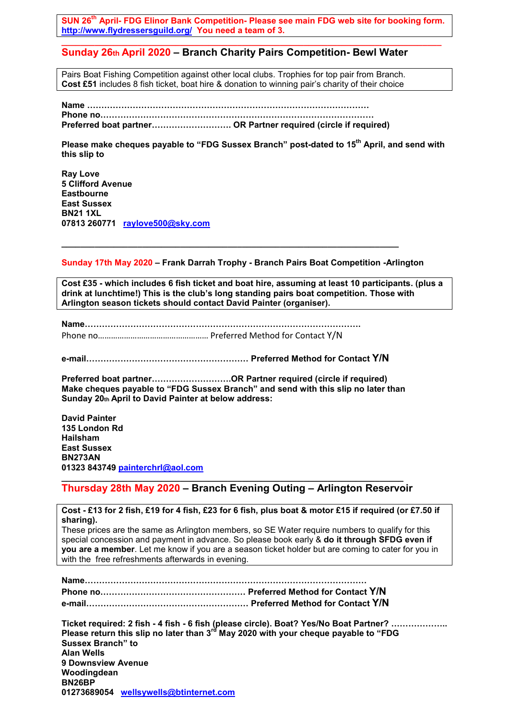SUN 26<sup>th</sup> April- FDG Elinor Bank Competition- Please see main FDG web site for booking form. **http://www.flydressersguild.org/ You need a team of 3.**

**\_\_\_\_\_\_\_\_\_\_\_\_\_\_\_\_\_\_\_\_\_\_\_\_\_\_\_\_\_\_\_\_\_\_\_\_\_\_\_\_\_\_\_\_\_\_\_\_\_\_\_\_\_\_\_\_\_\_\_\_\_\_\_\_\_\_\_\_\_\_\_\_\_\_\_\_\_\_\_\_**

#### **Sunday 26th April 2020 – Branch Charity Pairs Competition- Bewl Water**

Pairs Boat Fishing Competition against other local clubs. Trophies for top pair from Branch. **Cost £51** includes 8 fish ticket, boat hire & donation to winning pair's charity of their choice

**Name ……………………………………………………………………………………… Phone no…………………………………………………………………………………… Preferred boat partner………………………. OR Partner required (circle if required)**

Please make cheques payable to "FDG Sussex Branch" post-dated to 15<sup>th</sup> April, and send with **this slip to**

**Ray Love 5 Clifford Avenue Eastbourne East Sussex BN21 1XL 07813 260771 raylove500@sky.com**

**Sunday 17th May 2020 – Frank Darrah Trophy - Branch Pairs Boat Competition -Arlington**

**\_\_\_\_\_\_\_\_\_\_\_\_\_\_\_\_\_\_\_\_\_\_\_\_\_\_\_\_\_\_\_\_\_\_\_\_\_\_\_\_\_\_\_\_\_\_\_\_\_\_\_\_\_\_\_\_\_\_\_\_\_\_\_\_\_\_\_\_\_\_\_**

**Cost £35 - which includes 6 fish ticket and boat hire, assuming at least 10 participants. (plus a drink at lunchtime!) This is the club's long standing pairs boat competition. Those with Arlington season tickets should contact David Painter (organiser).**

**Name…………………………………………………………………………………….** Phone no…………………………………………… Preferred Method for Contact Y/N

**e-mail………………………………………………… Preferred Method for Contact Y/N**

**Preferred boat partner……………………….OR Partner required (circle if required) Make cheques payable to "FDG Sussex Branch" and send with this slip no later than Sunday 20th April to David Painter at below address:**

**David Painter 135 London Rd Hailsham East Sussex BN273AN 01323 843749 painterchrl@aol.com**

**\_\_\_\_\_\_\_\_\_\_\_\_\_\_\_\_\_\_\_\_\_\_\_\_\_\_\_\_\_\_\_\_\_\_\_\_\_\_\_\_\_\_\_\_\_\_\_\_\_\_\_\_\_\_\_\_\_\_\_\_\_\_\_\_\_\_\_\_\_\_\_\_ Thursday 28th May 2020 – Branch Evening Outing – Arlington Reservoir** 

**Cost - £13 for 2 fish, £19 for 4 fish, £23 for 6 fish, plus boat & motor £15 if required (or £7.50 if sharing).** These prices are the same as Arlington members, so SE Water require numbers to qualify for this special concession and payment in advance. So please book early & **do it through SFDG even if you are a member**. Let me know if you are a season ticket holder but are coming to cater for you in with the free refreshments afterwards in evening.

|                           | Ticket required: 2 fish - 4 fish - 6 fish (please circle). Boat? Yes/No Boat Partner?           |
|---------------------------|-------------------------------------------------------------------------------------------------|
|                           | Please return this slip no later than 3 <sup>rd</sup> May 2020 with your cheque payable to "FDG |
| <b>Sussex Branch</b> " to |                                                                                                 |
| Alan Wells                |                                                                                                 |
| 9 Downsview Avenue        |                                                                                                 |
| Woodingdean               |                                                                                                 |
| <b>BN26BP</b>             |                                                                                                 |
|                           | 01273689054 wellsywells@btinternet.com                                                          |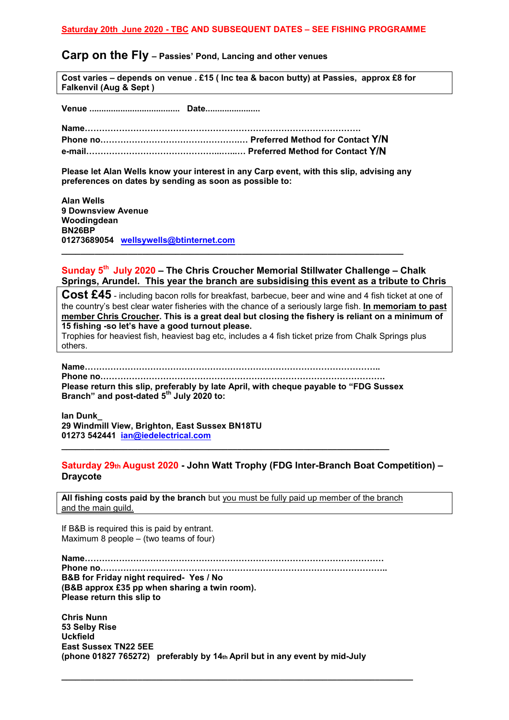#### **Carp on the Fly – Passies' Pond, Lancing and other venues**

**Cost varies – depends on venue . £15 ( Inc tea & bacon butty) at Passies, approx £8 for Falkenvil (Aug & Sept )**

**Venue ...................................... Date.......................**

**Name……………………………………………………………………………………. Phone no………………………………………….… Preferred Method for Contact Y/N e-mail………………………………………...…...… Preferred Method for Contact Y/N**

**Please let Alan Wells know your interest in any Carp event, with this slip, advising any preferences on dates by sending as soon as possible to:**

**\_\_\_\_\_\_\_\_\_\_\_\_\_\_\_\_\_\_\_\_\_\_\_\_\_\_\_\_\_\_\_\_\_\_\_\_\_\_\_\_\_\_\_\_\_\_\_\_\_\_\_\_\_\_\_\_\_\_\_\_\_\_\_\_\_\_\_\_\_\_\_\_**

**Alan Wells 9 Downsview Avenue Woodingdean BN26BP 01273689054 wellsywells@btinternet.com**

#### **Sunday 5th July 2020 – The Chris Croucher Memorial Stillwater Challenge – Chalk Springs, Arundel. This year the branch are subsidising this event as a tribute to Chris**

**Cost £45** - including bacon rolls for breakfast, barbecue, beer and wine and 4 fish ticket at one of the country's best clear water fisheries with the chance of a seriously large fish. **In memoriam to past member Chris Croucher. This is a great deal but closing the fishery is reliant on a minimum of 15 fishing -so let's have a good turnout please.**

Trophies for heaviest fish, heaviest bag etc, includes a 4 fish ticket prize from Chalk Springs plus others.

**Name…………………………………………………………………………………………..**

**Phone no………………………………………………………………………………………. Please return this slip, preferably by late April, with cheque payable to "FDG Sussex Branch" and post-dated 5th July 2020 to:**

**\_\_\_\_\_\_\_\_\_\_\_\_\_\_\_\_\_\_\_\_\_\_\_\_\_\_\_\_\_\_\_\_\_\_\_\_\_\_\_\_\_\_\_\_\_\_\_\_\_\_\_\_\_\_\_\_\_\_\_\_\_\_\_\_\_\_\_\_\_**

**Ian Dunk\_ 29 Windmill View, Brighton, East Sussex BN18TU 01273 542441 ian@iedelectrical.com**

#### **Saturday 29th August 2020 - John Watt Trophy (FDG Inter-Branch Boat Competition) – Draycote**

**All fishing costs paid by the branch** but you must be fully paid up member of the branch and the main guild.

If B&B is required this is paid by entrant. Maximum 8 people – (two teams of four)

**Name…………………………………………………………………………………………… Phone no……………………………………………………………………………………….. B&B for Friday night required- Yes / No (B&B approx £35 pp when sharing a twin room). Please return this slip to**

**Chris Nunn 53 Selby Rise Uckfield East Sussex TN22 5EE (phone 01827 765272) preferably by 14th April but in any event by mid-July**

**\_\_\_\_\_\_\_\_\_\_\_\_\_\_\_\_\_\_\_\_\_\_\_\_\_\_\_\_\_\_\_\_\_\_\_\_\_\_\_\_\_\_\_\_\_\_\_\_\_\_\_\_\_\_\_\_\_\_\_\_\_\_\_\_\_\_\_\_\_\_\_\_\_\_**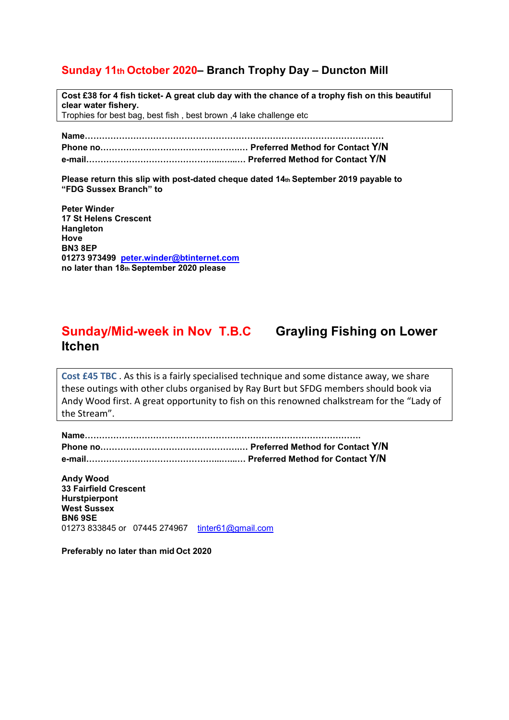## **Sunday 11th October 2020– Branch Trophy Day – Duncton Mill**

**Cost £38 for 4 fish ticket- A great club day with the chance of a trophy fish on this beautiful clear water fishery.** Trophies for best bag, best fish , best brown ,4 lake challenge etc

**Name…………………………………………………………………………………………… Phone no………………………………………….… Preferred Method for Contact Y/N e-mail………………………………………...…...… Preferred Method for Contact Y/N**

**Please return this slip with post-dated cheque dated 14th September 2019 payable to "FDG Sussex Branch" to**

**Peter Winder 17 St Helens Crescent Hangleton Hove BN3 8EP 01273 973499 peter.winder@btinternet.com no later than 18th September 2020 please**

# **Sunday/Mid-week in Nov T.B.C Grayling Fishing on Lower Itchen**

**Cost £45 TBC** . As this is a fairly specialised technique and some distance away, we share these outings with other clubs organised by Ray Burt but SFDG members should book via Andy Wood first. A great opportunity to fish on this renowned chalkstream for the "Lady of the Stream".

**Andy Wood 33 Fairfield Crescent Hurstpierpont West Sussex BN6 9SE** 01273 833845 or 07445 274967 tinter61@gmail.com

**Preferably no later than mid Oct 2020**